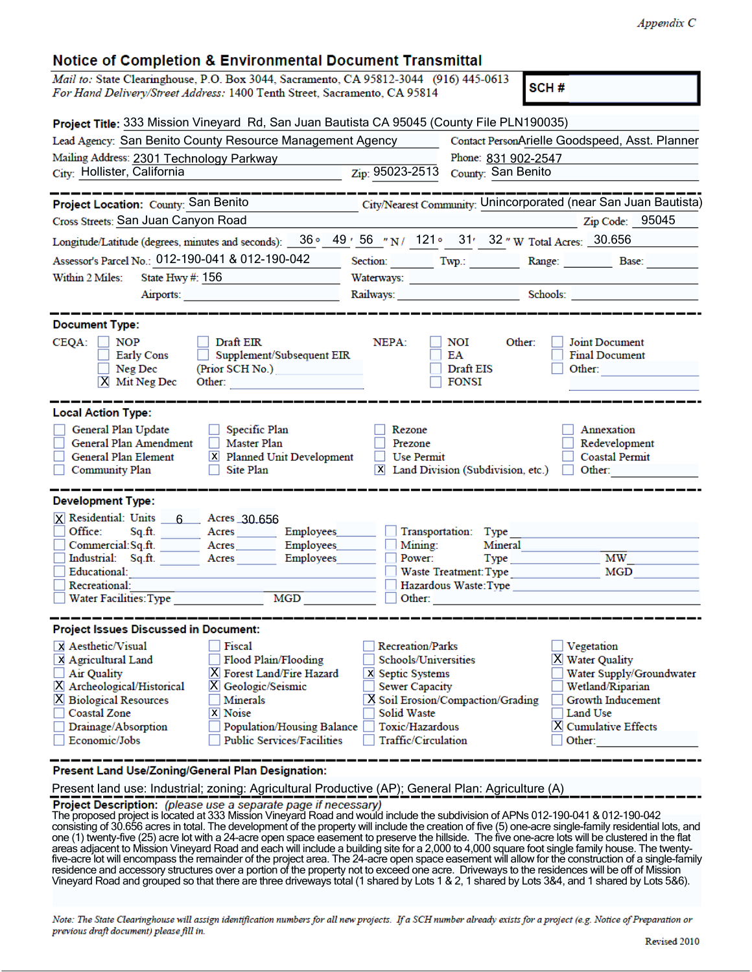|  |  | <b>Notice of Completion &amp; Environmental Document Transmittal</b> |
|--|--|----------------------------------------------------------------------|
|--|--|----------------------------------------------------------------------|

| Notice of Completion & Environmental Document Transmittal                                                                                                          |                                                                                                             |
|--------------------------------------------------------------------------------------------------------------------------------------------------------------------|-------------------------------------------------------------------------------------------------------------|
| Mail to: State Clearinghouse, P.O. Box 3044, Sacramento, CA 95812-3044 (916) 445-0613<br>For Hand Delivery/Street Address: 1400 Tenth Street, Sacramento, CA 95814 | SCH#                                                                                                        |
| Project Title: 333 Mission Vineyard Rd, San Juan Bautista CA 95045 (County File PLN190035)                                                                         |                                                                                                             |
| Lead Agency: San Benito County Resource Management Agency                                                                                                          | Contact PersonArielle Goodspeed, Asst. Planner                                                              |
| Mailing Address: 2301 Technology Parkway                                                                                                                           | Phone: 831 902-2547                                                                                         |
| City: Hollister, California                                                                                                                                        | Zip: 95023-2513<br>County: San Benito                                                                       |
|                                                                                                                                                                    |                                                                                                             |
| Project Location: County: San Benito                                                                                                                               | City/Nearest Community: Unincorporated (near San Juan Bautista)                                             |
| Cross Streets: San Juan Canyon Road                                                                                                                                | $\mathbb{Z}$ ip Code: 95045                                                                                 |
|                                                                                                                                                                    | Longitude/Latitude (degrees, minutes and seconds): 36 ° 49 ' 56 " N / 121 ° 31 ' 32 " W Total Acres: 30.656 |
| Assessor's Parcel No.: 012-190-041 & 012-190-042                                                                                                                   | Section: Twp.: Range: Base: Base:                                                                           |
| Within 2 Miles:<br>State Hwy $#: 156$                                                                                                                              |                                                                                                             |
| Airports:                                                                                                                                                          |                                                                                                             |
| <b>Document Type:</b>                                                                                                                                              |                                                                                                             |
|                                                                                                                                                                    |                                                                                                             |
| $CEQA: \Box NP$<br>Draft EIR<br>Supplement/Subsequent EIR<br>Early Cons                                                                                            | NEPA:<br>NOI<br>Other:<br>Joint Document<br>EA<br><b>Final Document</b>                                     |
| Neg Dec<br>(Prior SCH No.)<br>$\mathbf{I}$                                                                                                                         | Draft EIS<br>Other:                                                                                         |
| $X$ Mit Neg Dec<br>Other:                                                                                                                                          | <b>FONSI</b>                                                                                                |
|                                                                                                                                                                    |                                                                                                             |
| <b>Local Action Type:</b>                                                                                                                                          |                                                                                                             |
| General Plan Update<br>$\Box$ Specific Plan                                                                                                                        | Rezone<br>Annexation                                                                                        |
| General Plan Amendment<br>Master Plan<br>$\Box$                                                                                                                    | Redevelopment<br>Prezone                                                                                    |
| General Plan Element<br>X Planned Unit Development                                                                                                                 | <b>Use Permit</b><br><b>Coastal Permit</b>                                                                  |
| Community Plan<br>Site Plan                                                                                                                                        | X Land Division (Subdivision, etc.)<br>Other:                                                               |
|                                                                                                                                                                    |                                                                                                             |
| <b>Development Type:</b>                                                                                                                                           |                                                                                                             |
| X Residential: Units 6 Acres 30.656                                                                                                                                |                                                                                                             |
| Office:<br>Sq.ft. Acres Employees                                                                                                                                  | Transportation:<br>Type                                                                                     |
| Commercial:Sq.ft. ________ Acres_________ Employees___<br>Industrial: Sq.ft.                                                                                       | Mining:<br>Mineral<br>МW<br>Employees                                                                       |
| Acres<br>Educational:                                                                                                                                              | Power:<br>$Type$ <sub>_____</sub><br>Waste Treatment: Type<br>MGD                                           |
| Recreational:                                                                                                                                                      | Hazardous Waste: Type                                                                                       |
| Water Facilities: Type                                                                                                                                             | MGD <b>MGD</b><br>Other:                                                                                    |
|                                                                                                                                                                    |                                                                                                             |
| <b>Project Issues Discussed in Document:</b>                                                                                                                       |                                                                                                             |
| X Aesthetic/Visual<br>Fiscal                                                                                                                                       | <b>Recreation/Parks</b><br>Vegetation                                                                       |
| X Agricultural Land<br>Flood Plain/Flooding                                                                                                                        | Schools/Universities<br>X Water Quality                                                                     |
| X Forest Land/Fire Hazard<br>Air Quality                                                                                                                           | Water Supply/Groundwater<br>X Septic Systems                                                                |
| X Archeological/Historical<br>X Geologic/Seismic                                                                                                                   | Wetland/Riparian<br><b>Sewer Capacity</b>                                                                   |
| <b>X</b> Biological Resources<br>Minerals                                                                                                                          | X Soil Erosion/Compaction/Grading<br>Growth Inducement                                                      |
| <b>Coastal Zone</b><br><b>X</b> Noise                                                                                                                              | Solid Waste<br>Land Use                                                                                     |
| Drainage/Absorption<br>Population/Housing Balance                                                                                                                  | Toxic/Hazardous<br><b>X</b> Cumulative Effects                                                              |
| Economic/Jobs<br><b>Public Services/Facilities</b>                                                                                                                 | <b>Traffic/Circulation</b><br>Other:                                                                        |
|                                                                                                                                                                    |                                                                                                             |

Present Land Use/Zoning/General Plan Designation:

Present land use: Industrial; zoning: Agricultural Productive (AP); General Plan: Agriculture (A)

The project Description: (please use a separate page if necessary)<br>The proposed project is located at 333 Mission Vineyard Road and would include the subdivision of APNs 012-190-041 & 012-190-042 consisting of 30.656 acres in total. The development of the property will include the creation of five (5) one-acre single-family residential lots, and one (1) twenty-five (25) acre lot with a 24-acre open space easement to preserve the hillside. The five one-acre lots will be clustered in the flat areas adjacent to Mission Vineyard Road and each will include a building site for a 2,000 to 4,000 square foot single family house. The twenty-<br>five-acre lot will encompass the remainder of the project area. The 24-acre op residence and accessory structures over a portion of the property not to exceed one acre. Driveways to the residences will be off of Mission Vineyard Road and grouped so that there are three driveways total (1 shared by Lots 1 & 2, 1 shared by Lots 3&4, and 1 shared by Lots 5&6).

Note: The State Clearinghouse will assign identification numbers for all new projects. If a SCH number already exists for a project (e.g. Notice of Preparation or previous draft document) please fill in.